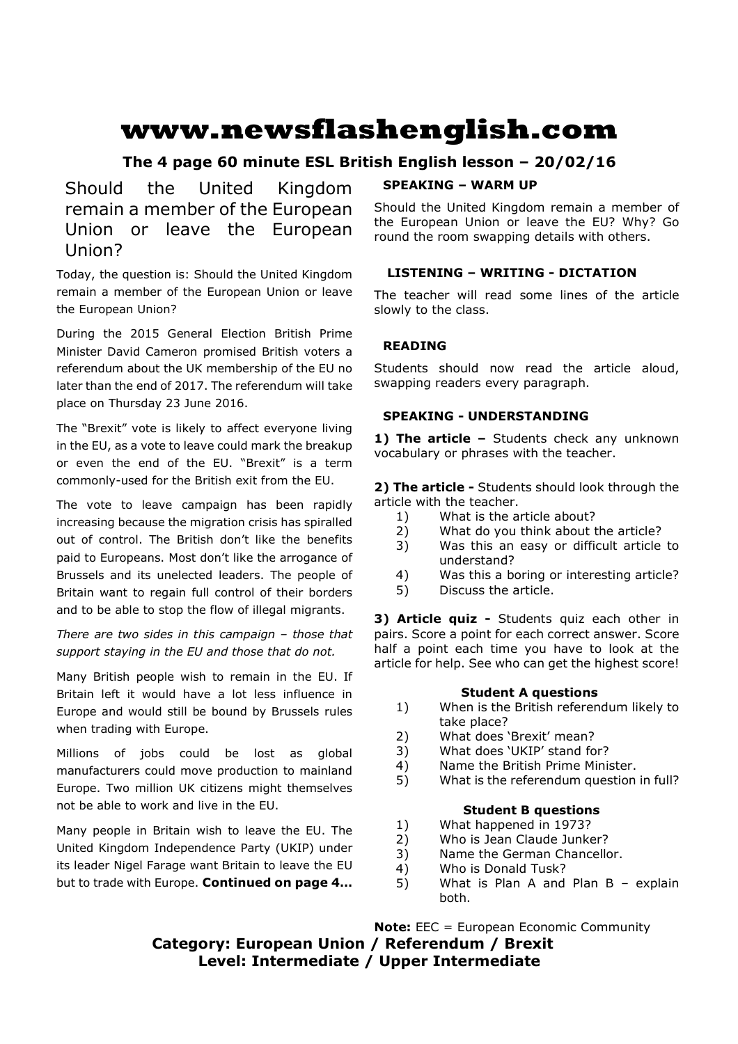# **www.newsflashenglish.com**

# **The 4 page 60 minute ESL British English lesson – 20/02/16**

Should the United Kingdom remain a member of the European Union or leave the European Union?

Today, the question is: Should the United Kingdom remain a member of the European Union or leave the European Union?

During the 2015 General Election British Prime Minister David Cameron promised British voters a referendum about the UK membership of the EU no later than the end of 2017. The referendum will take place on Thursday 23 June 2016.

The "Brexit" vote is likely to affect everyone living in the EU, as a vote to leave could mark the breakup or even the end of the EU. "Brexit" is a term commonly-used for the British exit from the EU.

The vote to leave campaign has been rapidly increasing because the migration crisis has spiralled out of control. The British don't like the benefits paid to Europeans. Most don't like the arrogance of Brussels and its unelected leaders. The people of Britain want to regain full control of their borders and to be able to stop the flow of illegal migrants.

*There are two sides in this campaign – those that support staying in the EU and those that do not.* 

Many British people wish to remain in the EU. If Britain left it would have a lot less influence in Europe and would still be bound by Brussels rules when trading with Europe.

Millions of jobs could be lost as global manufacturers could move production to mainland Europe. Two million UK citizens might themselves not be able to work and live in the EU.

Many people in Britain wish to leave the EU. The United Kingdom Independence Party (UKIP) under its leader Nigel Farage want Britain to leave the EU but to trade with Europe. **Continued on page 4…** 

# **SPEAKING – WARM UP**

Should the United Kingdom remain a member of the European Union or leave the EU? Why? Go round the room swapping details with others.

# **LISTENING – WRITING - DICTATION**

The teacher will read some lines of the article slowly to the class.

# **READING**

Students should now read the article aloud, swapping readers every paragraph.

# **SPEAKING - UNDERSTANDING**

1) The article - Students check any unknown vocabulary or phrases with the teacher.

**2) The article -** Students should look through the article with the teacher.

- 1) What is the article about?
- 2) What do you think about the article?
- 3) Was this an easy or difficult article to understand?
- 4) Was this a boring or interesting article?
- 5) Discuss the article.

**3) Article quiz -** Students quiz each other in pairs. Score a point for each correct answer. Score half a point each time you have to look at the article for help. See who can get the highest score!

# **Student A questions**

- 1) When is the British referendum likely to take place?
- 2) What does 'Brexit' mean?
- 3) What does 'UKIP' stand for?
- 4) Name the British Prime Minister.
- 5) What is the referendum question in full?

### **Student B questions**

- 1) What happened in 1973?
- 2) Who is Jean Claude Junker?
- 3) Name the German Chancellor.
- 4) Who is Donald Tusk?
- 5) What is Plan A and Plan B explain both.

**Note:** EEC = European Economic Community **Category: European Union / Referendum / Brexit Level: Intermediate / Upper Intermediate**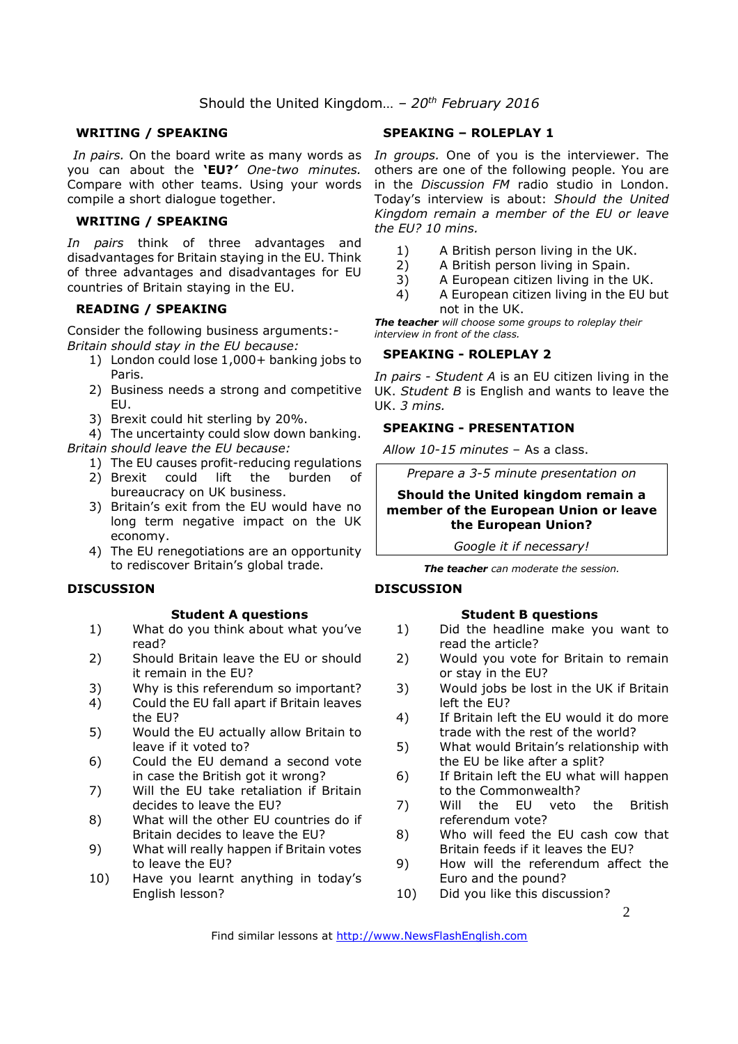# Should the United Kingdom… *– 20th February 2016*

### **WRITING / SPEAKING**

you can about the **'EU?***' One-two minutes.*  Compare with other teams. Using your words compile a short dialogue together.

#### **WRITING / SPEAKING**

*In pairs* think of three advantages and disadvantages for Britain staying in the EU. Think of three advantages and disadvantages for EU countries of Britain staying in the EU.

## **READING / SPEAKING**

Consider the following business arguments:- *Britain should stay in the EU because:* 

- 1) London could lose 1,000+ banking jobs to Paris.
- 2) Business needs a strong and competitive EU.
- 3) Brexit could hit sterling by 20%.

4) The uncertainty could slow down banking.

*Britain should leave the EU because:* 

- 1) The EU causes profit-reducing regulations
- 2) Brexit could lift the burden of bureaucracy on UK business.
- 3) Britain's exit from the EU would have no long term negative impact on the UK economy.
- 4) The EU renegotiations are an opportunity to rediscover Britain's global trade.

#### **DISCUSSION**

#### **Student A questions**

- 1) What do you think about what you've read?
- 2) Should Britain leave the EU or should it remain in the EU?
- 3) Why is this referendum so important?
- 4) Could the EU fall apart if Britain leaves the EU?
- 5) Would the EU actually allow Britain to leave if it voted to?
- 6) Could the EU demand a second vote in case the British got it wrong?
- 7) Will the EU take retaliation if Britain decides to leave the EU?
- 8) What will the other EU countries do if Britain decides to leave the EU?
- 9) What will really happen if Britain votes to leave the EU?
- 10) Have you learnt anything in today's English lesson?

### **SPEAKING – ROLEPLAY 1**

In pairs. On the board write as many words as In groups. One of you is the interviewer. The others are one of the following people. You are in the *Discussion FM* radio studio in London. Today's interview is about: *Should the United Kingdom remain a member of the EU or leave the EU? 10 mins.*

- 1) A British person living in the UK.
- 2) A British person living in Spain.
- 3) A European citizen living in the UK.
- 4) A European citizen living in the EU but not in the UK.

*The teacher will choose some groups to roleplay their interview in front of the class.* 

#### **SPEAKING - ROLEPLAY 2**

*In pairs - Student A* is an EU citizen living in the UK. *Student B* is English and wants to leave the UK. *3 mins.* 

#### **SPEAKING - PRESENTATION**

*Allow 10-15 minutes* – As a class.

*Prepare a 3-5 minute presentation on* 

#### **Should the United kingdom remain a member of the European Union or leave the European Union?**

*Google it if necessary!*

*The teacher can moderate the session.*

#### **DISCUSSION**

### **Student B questions**

- 1) Did the headline make you want to read the article?
- 2) Would you vote for Britain to remain or stay in the EU?
- 3) Would jobs be lost in the UK if Britain left the EU?
- 4) If Britain left the EU would it do more trade with the rest of the world?
- 5) What would Britain's relationship with the EU be like after a split?
- 6) If Britain left the EU what will happen to the Commonwealth?
- 7) Will the EU veto the British referendum vote?
- 8) Who will feed the EU cash cow that Britain feeds if it leaves the EU?
- 9) How will the referendum affect the Euro and the pound?
- 10) Did you like this discussion?

Find similar lessons at http://www.NewsFlashEnglish.com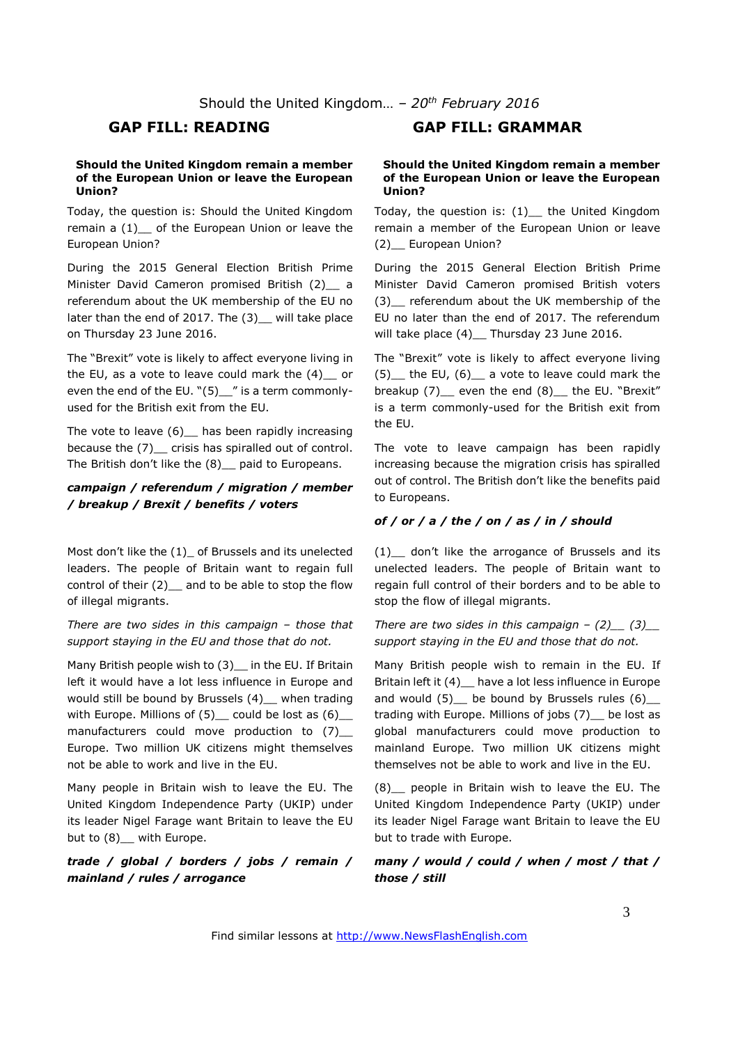#### **Should the United Kingdom remain a member of the European Union or leave the European Union?**

Today, the question is: Should the United Kingdom remain a  $(1)$  of the European Union or leave the European Union?

During the 2015 General Election British Prime Minister David Cameron promised British (2) a referendum about the UK membership of the EU no later than the end of 2017. The (3)\_ will take place on Thursday 23 June 2016.

The "Brexit" vote is likely to affect everyone living in the EU, as a vote to leave could mark the (4)\_\_ or even the end of the EU. "(5)\_" is a term commonlyused for the British exit from the EU.

The vote to leave  $(6)$  has been rapidly increasing because the (7) \_ crisis has spiralled out of control. The British don't like the (8)\_\_ paid to Europeans.

### *campaign / referendum / migration / member / breakup / Brexit / benefits / voters*

Most don't like the (1)\_ of Brussels and its unelected leaders. The people of Britain want to regain full control of their (2) and to be able to stop the flow of illegal migrants.

*There are two sides in this campaign – those that support staying in the EU and those that do not.* 

Many British people wish to (3) in the EU. If Britain left it would have a lot less influence in Europe and would still be bound by Brussels (4)\_ when trading with Europe. Millions of  $(5)$  could be lost as  $(6)$ manufacturers could move production to (7) Europe. Two million UK citizens might themselves not be able to work and live in the EU.

Many people in Britain wish to leave the EU. The United Kingdom Independence Party (UKIP) under its leader Nigel Farage want Britain to leave the EU but to  $(8)$  with Europe.

*trade / global / borders / jobs / remain / mainland / rules / arrogance* 

# **GAP FILL: READING GAP FILL: GRAMMAR**

#### **Should the United Kingdom remain a member of the European Union or leave the European Union?**

Today, the question is: (1)\_\_ the United Kingdom remain a member of the European Union or leave (2)\_\_ European Union?

During the 2015 General Election British Prime Minister David Cameron promised British voters (3) referendum about the UK membership of the EU no later than the end of 2017. The referendum will take place (4) \_ Thursday 23 June 2016.

The "Brexit" vote is likely to affect everyone living (5) the EU,  $(6)$  a vote to leave could mark the breakup (7) even the end (8) the EU. "Brexit" is a term commonly-used for the British exit from the EU.

The vote to leave campaign has been rapidly increasing because the migration crisis has spiralled out of control. The British don't like the benefits paid to Europeans.

#### *of / or / a / the / on / as / in / should*

(1) don't like the arrogance of Brussels and its unelected leaders. The people of Britain want to regain full control of their borders and to be able to stop the flow of illegal migrants.

*There are two sides in this campaign –*  $(2)$  *(3) support staying in the EU and those that do not.* 

Many British people wish to remain in the EU. If Britain left it (4)\_\_ have a lot less influence in Europe and would  $(5)$  be bound by Brussels rules  $(6)$ trading with Europe. Millions of jobs (7) be lost as global manufacturers could move production to mainland Europe. Two million UK citizens might themselves not be able to work and live in the EU.

(8)\_\_ people in Britain wish to leave the EU. The United Kingdom Independence Party (UKIP) under its leader Nigel Farage want Britain to leave the EU but to trade with Europe.

*many / would / could / when / most / that / those / still* 

3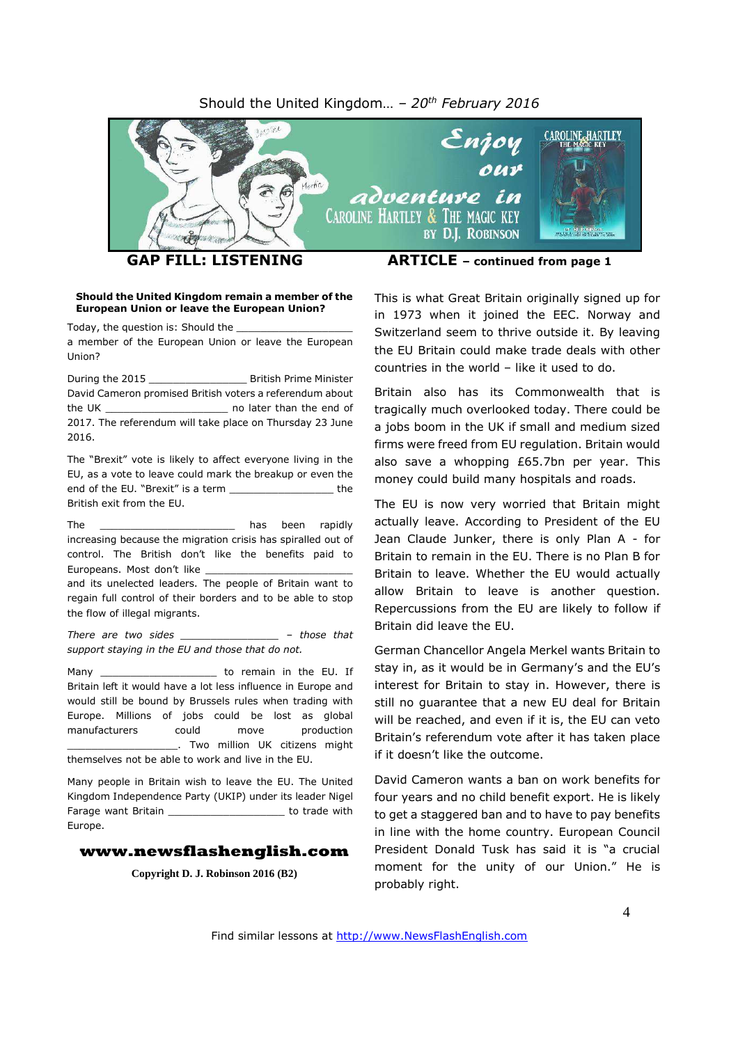#### Should the United Kingdom… *– 20 th February 2016*



#### **Should the United Kingdom remain a member of the European Union or leave the European Union?**

Today, the question is: Should the

a member of the European Union or leave the European Union?

During the 2015 **Example 2015** British Prime Minister David Cameron promised British voters a referendum about the UK \_\_\_\_\_\_\_\_\_\_\_\_\_\_\_\_\_\_\_\_ no later than the end of 2017. The referendum will take place on Thursday 23 June 2016.

The "Brexit" vote is likely to affect everyone living in the EU, as a vote to leave could mark the breakup or even the end of the EU. "Brexit" is a term \_\_\_\_\_\_\_\_\_\_\_\_\_\_\_\_\_ the British exit from the EU.

The **The and the contract of the contract of the contract of the contract of the contract of the contract of the contract of the contract of the contract of the contract of the contract of the contract of the contract of t** increasing because the migration crisis has spiralled out of control. The British don't like the benefits paid to Europeans. Most don't like

and its unelected leaders. The people of Britain want to regain full control of their borders and to be able to stop the flow of illegal migrants.

*There are two sides \_\_\_\_\_\_\_\_\_\_\_\_\_\_\_\_ – those that support staying in the EU and those that do not.*

Many Many to remain in the EU. If Britain left it would have a lot less influence in Europe and would still be bound by Brussels rules when trading with Europe. Millions of jobs could be lost as global manufacturers could move production \_\_\_\_\_\_\_\_\_\_\_\_\_\_\_\_\_\_. Two million UK citizens might themselves not be able to work and live in the EU.

Many people in Britain wish to leave the EU. The United Kingdom Independence Party (UKIP) under its leader Nigel Farage want Britain **Example 20** to trade with Europe.

#### **www.newsflashenglish.com**

**Copyright D. J. Robinson 2016 (B2)**

This is what Great Britain originally signed up for in 1973 when it joined the EEC. Norway and Switzerland seem to thrive outside it. By leaving the EU Britain could make trade deals with other countries in the world – like it used to do.

Britain also has its Commonwealth that is tragically much overlooked today. There could be a jobs boom in the UK if small and medium sized firms were freed from EU regulation. Britain would also save a whopping £65.7bn per year. This money could build many hospitals and roads.

The EU is now very worried that Britain might actually leave. According to President of the EU Jean Claude Junker, there is only Plan A - for Britain to remain in the EU. There is no Plan B for Britain to leave. Whether the EU would actually allow Britain to leave is another question. Repercussions from the EU are likely to follow if Britain did leave the EU.

German Chancellor Angela Merkel wants Britain to stay in, as it would be in Germany's and the EU's interest for Britain to stay in. However, there is still no guarantee that a new EU deal for Britain will be reached, and even if it is, the EU can veto Britain's referendum vote after it has taken place if it doesn't like the outcome.

David Cameron wants a ban on work benefits for four years and no child benefit export. He is likely to get a staggered ban and to have to pay benefits in line with the home country. European Council President Donald Tusk has said it is "a crucial moment for the unity of our Union." He is probably right.